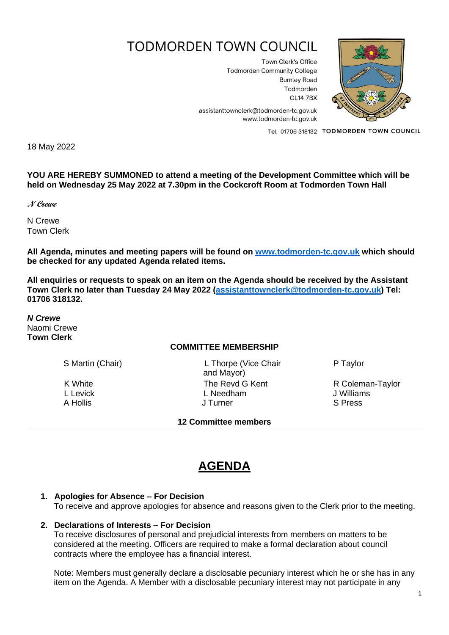# **TODMORDEN TOWN COUNCIL**

Town Clerk's Office **Todmorden Community College Burnley Road** Todmorden **OL14 7BX** 



assistanttownclerk@todmorden-tc.gov.uk www.todmorden-tc.gov.uk

Tel: 01706 318132 TODMORDEN TOWN COUNCIL

18 May 2022

**YOU ARE HEREBY SUMMONED to attend a meeting of the Development Committee which will be held on Wednesday 25 May 2022 at 7.30pm in the Cockcroft Room at Todmorden Town Hall**

**N Crewe**

N Crewe Town Clerk

**All Agenda, minutes and meeting papers will be found on [www.todmorden-tc.gov.uk](http://www.todmorden-tc.gov.uk/) which should be checked for any updated Agenda related items.**

**All enquiries or requests to speak on an item on the Agenda should be received by the Assistant Town Clerk no later than Tuesday 24 May 2022 [\(assistanttownclerk@todmorden-tc.gov.uk\)](mailto:assistanttownclerk@todmorden-tc.gov.uk) Tel: 01706 318132.**

*N Crewe* Naomi Crewe **Town Clerk**

#### **COMMITTEE MEMBERSHIP**

S Martin (Chair) L Thorpe (Vice Chair and Mayor) K White **The Revd G Kent** R Coleman-Taylor<br>
L Levick L Levick L Needham L Needham J Williams L Levick **Letter Controller L** Needham **Controller L** Needham **J** Williams A Hollis **A Hollis A Hollis A Hollis A Hollis S** Press

**12 Committee members** 

P Taylor

# **AGENDA**

#### **1. Apologies for Absence – For Decision**

To receive and approve apologies for absence and reasons given to the Clerk prior to the meeting.

#### **2. Declarations of Interests – For Decision**

To receive disclosures of personal and prejudicial interests from members on matters to be considered at the meeting. Officers are required to make a formal declaration about council contracts where the employee has a financial interest.

Note: Members must generally declare a disclosable pecuniary interest which he or she has in any item on the Agenda. A Member with a disclosable pecuniary interest may not participate in any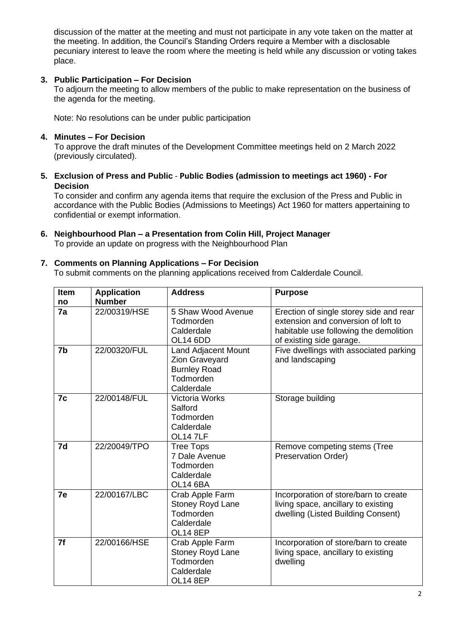discussion of the matter at the meeting and must not participate in any vote taken on the matter at the meeting. In addition, the Council's Standing Orders require a Member with a disclosable pecuniary interest to leave the room where the meeting is held while any discussion or voting takes place.

#### **3. Public Participation – For Decision**

To adjourn the meeting to allow members of the public to make representation on the business of the agenda for the meeting.

Note: No resolutions can be under public participation

#### **4. Minutes – For Decision**

To approve the draft minutes of the Development Committee meetings held on 2 March 2022 (previously circulated).

**5. Exclusion of Press and Public** - **Public Bodies (admission to meetings act 1960) - For Decision**

To consider and confirm any agenda items that require the exclusion of the Press and Public in accordance with the Public Bodies (Admissions to Meetings) Act 1960 for matters appertaining to confidential or exempt information.

**6. Neighbourhood Plan – a Presentation from Colin Hill, Project Manager** To provide an update on progress with the Neighbourhood Plan

#### **7. Comments on Planning Applications – For Decision**

To submit comments on the planning applications received from Calderdale Council.

| <b>Item</b><br>no | <b>Application</b><br><b>Number</b> | <b>Address</b>                                                                                 | <b>Purpose</b>                                                                                                                                       |
|-------------------|-------------------------------------|------------------------------------------------------------------------------------------------|------------------------------------------------------------------------------------------------------------------------------------------------------|
| 7a                | 22/00319/HSE                        | 5 Shaw Wood Avenue<br>Todmorden<br>Calderdale<br><b>OL14 6DD</b>                               | Erection of single storey side and rear<br>extension and conversion of loft to<br>habitable use following the demolition<br>of existing side garage. |
| 7b                | 22/00320/FUL                        | <b>Land Adjacent Mount</b><br>Zion Graveyard<br><b>Burnley Road</b><br>Todmorden<br>Calderdale | Five dwellings with associated parking<br>and landscaping                                                                                            |
| 7c                | 22/00148/FUL                        | <b>Victoria Works</b><br>Salford<br>Todmorden<br>Calderdale<br>OL14 7LF                        | Storage building                                                                                                                                     |
| 7d                | 22/20049/TPO                        | <b>Tree Tops</b><br>7 Dale Avenue<br>Todmorden<br>Calderdale<br><b>OL14 6BA</b>                | Remove competing stems (Tree<br>Preservation Order)                                                                                                  |
| 7e                | 22/00167/LBC                        | Crab Apple Farm<br>Stoney Royd Lane<br>Todmorden<br>Calderdale<br><b>OL14 8EP</b>              | Incorporation of store/barn to create<br>living space, ancillary to existing<br>dwelling (Listed Building Consent)                                   |
| 7f                | 22/00166/HSE                        | Crab Apple Farm<br><b>Stoney Royd Lane</b><br>Todmorden<br>Calderdale<br><b>OL14 8EP</b>       | Incorporation of store/barn to create<br>living space, ancillary to existing<br>dwelling                                                             |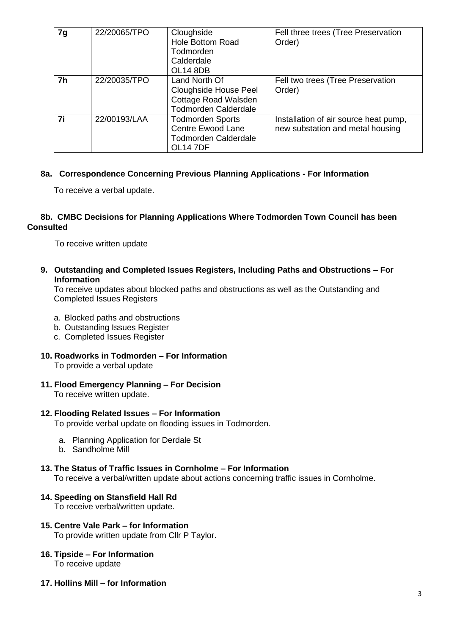| 7g             | 22/20065/TPO | Cloughside<br><b>Hole Bottom Road</b><br>Todmorden<br>Calderdale<br><b>OL14 8DB</b>                   | Fell three trees (Tree Preservation<br>Order)                             |
|----------------|--------------|-------------------------------------------------------------------------------------------------------|---------------------------------------------------------------------------|
| 7 <sub>h</sub> | 22/20035/TPO | Land North Of<br><b>Cloughside House Peel</b><br>Cottage Road Walsden<br><b>Todmorden Calderdale</b>  | Fell two trees (Tree Preservation<br>Order)                               |
| 7i             | 22/00193/LAA | <b>Todmorden Sports</b><br><b>Centre Ewood Lane</b><br><b>Todmorden Calderdale</b><br><b>OL14 7DF</b> | Installation of air source heat pump,<br>new substation and metal housing |

#### **8a. Correspondence Concerning Previous Planning Applications - For Information**

To receive a verbal update.

#### **8b. CMBC Decisions for Planning Applications Where Todmorden Town Council has been Consulted**

To receive written update

**9. Outstanding and Completed Issues Registers, Including Paths and Obstructions – For Information**

To receive updates about blocked paths and obstructions as well as the Outstanding and Completed Issues Registers

- a. Blocked paths and obstructions
- b. Outstanding Issues Register
- c. Completed Issues Register
- **10. Roadworks in Todmorden – For Information**

To provide a verbal update

**11. Flood Emergency Planning – For Decision**

To receive written update.

#### **12. Flooding Related Issues – For Information**

To provide verbal update on flooding issues in Todmorden.

- a. Planning Application for Derdale St
- b. Sandholme Mill

## **13. The Status of Traffic Issues in Cornholme – For Information**

To receive a verbal/written update about actions concerning traffic issues in Cornholme.

## **14. Speeding on Stansfield Hall Rd**

To receive verbal/written update.

- **15. Centre Vale Park – for Information** To provide written update from Cllr P Taylor.
- **16. Tipside – For Information** To receive update
- **17. Hollins Mill – for Information**